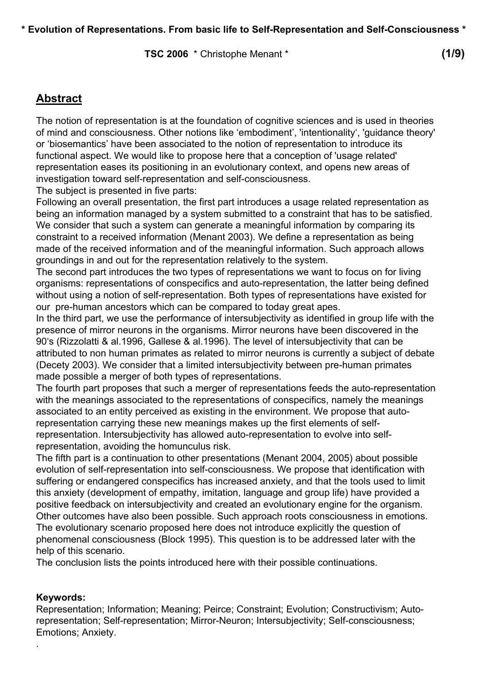**TSC 2006** \* Christophe Menant \* **(1/9)**

# **Abstract**

The notion of representation is at the foundation of cognitive sciences and is used in theories of mind and consciousness. Other notions like 'embodiment', 'intentionality', 'guidance theory' or 'biosemantics' have been associated to the notion of representation to introduce its functional aspect. We would like to propose here that a conception of 'usage related' representation eases its positioning in an evolutionary context, and opens new areas of investigation toward self-representation and self-consciousness.

The subject is presented in five parts:

Following an overall presentation, the first part introduces a usage related representation as being an information managed by a system submitted to a constraint that has to be satisfied. We consider that such a system can generate a meaningful information by comparing its constraint to a received information (Menant 2003). We define a representation as being made of the received information and of the meaningful information. Such approach allows groundings in and out for the representation relatively to the system.

The second part introduces the two types of representations we want to focus on for living organisms: representations of conspecifics and auto-representation, the latter being defined without using a notion of self-representation. Both types of representations have existed for our pre-human ancestors which can be compared to today great apes.

In the third part, we use the performance of intersubjectivity as identified in group life with the presence of mirror neurons in the organisms. Mirror neurons have been discovered in the 90's (Rizzolatti & al.1996, Gallese & al.1996). The level of intersubjectivity that can be attributed to non human primates as related to mirror neurons is currently a subject of debate (Decety 2003). We consider that a limited intersubjectivity between pre-human primates made possible a merger of both types of representations.

The fourth part proposes that such a merger of representations feeds the auto-representation with the meanings associated to the representations of conspecifics, namely the meanings associated to an entity perceived as existing in the environment. We propose that autorepresentation carrying these new meanings makes up the first elements of selfrepresentation. Intersubjectivity has allowed auto-representation to evolve into selfrepresentation, avoiding the homunculus risk.

The fifth part is a continuation to other presentations (Menant 2004, 2005) about possible evolution of self-representation into self-consciousness. We propose that identification with suffering or endangered conspecifics has increased anxiety, and that the tools used to limit this anxiety (development of empathy, imitation, language and group life) have provided a positive feedback on intersubjectivity and created an evolutionary engine for the organism. Other outcomes have also been possible. Such approach roots consciousness in emotions. The evolutionary scenario proposed here does not introduce explicitly the question of phenomenal consciousness (Block 1995). This question is to be addressed later with the help of this scenario.

The conclusion lists the points introduced here with their possible continuations.

### **Keywords:**

.

Representation; Information; Meaning; Peirce; Constraint; Evolution; Constructivism; Autorepresentation; Self-representation; Mirror-Neuron; Intersubjectivity; Self-consciousness; Emotions; Anxiety.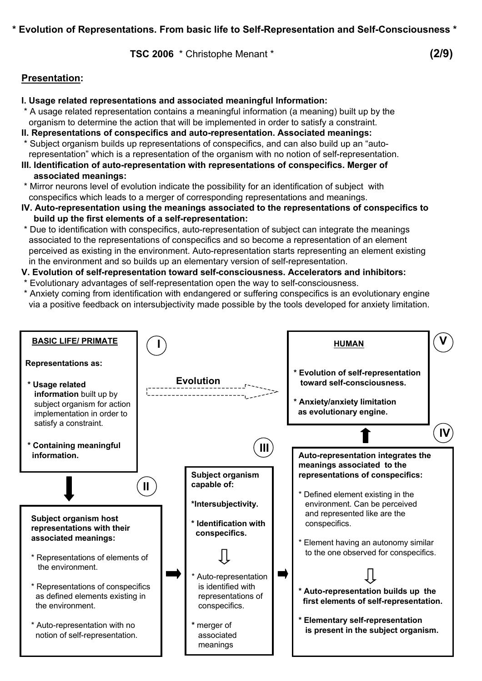### **\* Evolution of Representations. From basic life to Self-Representation and Self-Consciousness \***

**TSC 2006** \* Christophe Menant \* **(2/9)**

#### **Presentation:**

#### **I. Usage related representations and associated meaningful Information:**

- \* A usage related representation contains a meaningful information (a meaning) built up by the organism to determine the action that will be implemented in order to satisfy a constraint.
- **II. Representations of conspecifics and auto-representation. Associated meanings:** Subject organism builds up representations of conspecifics, and can also build up an "autorepresentation" which is a representation of the organism with no notion of self-representation.
- **III. Identification of auto-representation with representations of conspecifics. Merger of associated meanings:**
- \* Mirror neurons level of evolution indicate the possibility for an identification of subject with conspecifics which leads to a merger of corresponding representations and meanings.
- **IV. Auto-representation using the meanings associated to the representations of conspecifics to build up the first elements of a self-representation:**
- \* Due to identification with conspecifics, auto-representation of subject can integrate the meanings associated to the representations of conspecifics and so become a representation of an element perceived as existing in the environment. Auto-representation starts representing an element existing in the environment and so builds up an elementary version of self-representation.
- **V. Evolution of self-representation toward self-consciousness. Accelerators and inhibitors:**
- \* Evolutionary advantages of self-representation open the way to self-consciousness.
- \* Anxiety coming from identification with endangered or suffering conspecifics is an evolutionary engine via a positive feedback on intersubjectivity made possible by the tools developed for anxiety limitation.

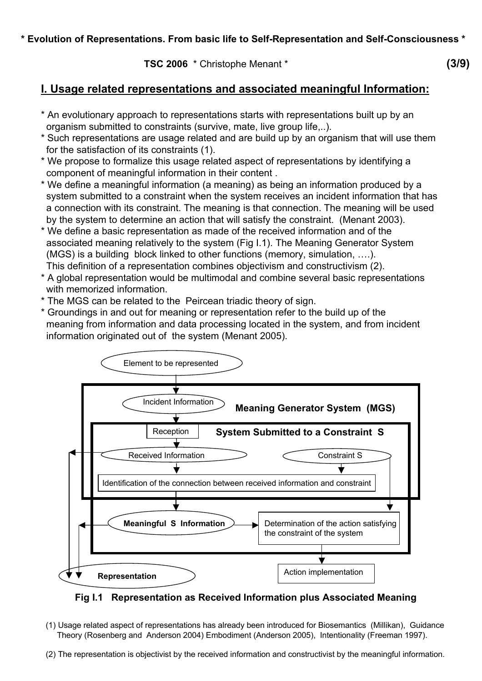**TSC 2006** \* Christophe Menant \* **(3/9)**

### **I. Usage related representations and associated meaningful Information:**

- \* An evolutionary approach to representations starts with representations built up by an organism submitted to constraints (survive, mate, live group life,..).
- \* Such representations are usage related and are build up by an organism that will use them for the satisfaction of its constraints (1).
- \* We propose to formalize this usage related aspect of representations by identifying a component of meaningful information in their content .
- \* We define a meaningful information (a meaning) as being an information produced by a system submitted to a constraint when the system receives an incident information that has a connection with its constraint. The meaning is that connection. The meaning will be used by the system to determine an action that will satisfy the constraint. (Menant 2003).
- \* We define a basic representation as made of the received information and of the associated meaning relatively to the system (Fig I.1). The Meaning Generator System (MGS) is a building block linked to other functions (memory, simulation, ….). This definition of a representation combines objectivism and constructivism (2).
- \* A global representation would be multimodal and combine several basic representations with memorized information.
- \* The MGS can be related to the Peircean triadic theory of sign.
- \* Groundings in and out for meaning or representation refer to the build up of the meaning from information and data processing located in the system, and from incident information originated out of the system (Menant 2005).



**Fig I.1 Representation as Received Information plus Associated Meaning**

- (1) Usage related aspect of representations has already been introduced for Biosemantics (Millikan), Guidance Theory (Rosenberg and Anderson 2004) Embodiment (Anderson 2005), Intentionality (Freeman 1997).
- (2) The representation is objectivist by the received information and constructivist by the meaningful information.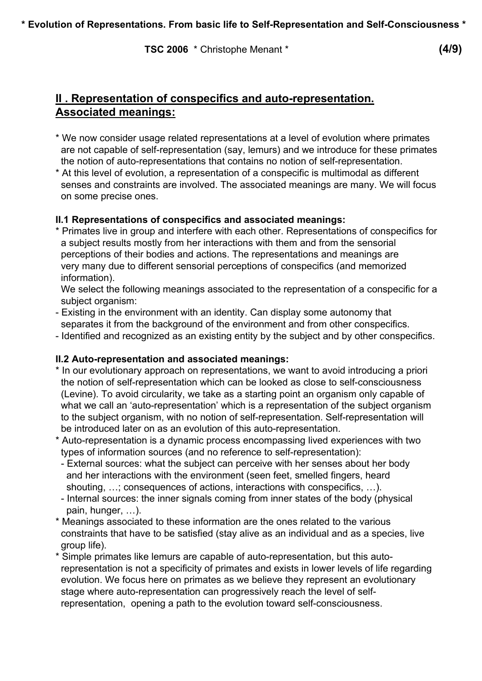**TSC 2006** \* Christophe Menant \* **(4/9)**

# **II . Representation of conspecifics and auto-representation. Associated meanings:**

- \* We now consider usage related representations at a level of evolution where primates are not capable of self-representation (say, lemurs) and we introduce for these primates the notion of auto-representations that contains no notion of self-representation.
- \* At this level of evolution, a representation of a conspecific is multimodal as different senses and constraints are involved. The associated meanings are many. We will focus on some precise ones.

### **II.1 Representations of conspecifics and associated meanings:**

\* Primates live in group and interfere with each other. Representations of conspecifics for a subject results mostly from her interactions with them and from the sensorial perceptions of their bodies and actions. The representations and meanings are very many due to different sensorial perceptions of conspecifics (and memorized information).

We select the following meanings associated to the representation of a conspecific for a subject organism:

- Existing in the environment with an identity. Can display some autonomy that separates it from the background of the environment and from other conspecifics.
- Identified and recognized as an existing entity by the subject and by other conspecifics.

### **II.2 Auto-representation and associated meanings:**

- \* In our evolutionary approach on representations, we want to avoid introducing a priori the notion of self-representation which can be looked as close to self-consciousness (Levine). To avoid circularity, we take as a starting point an organism only capable of what we call an 'auto-representation' which is a representation of the subject organism to the subject organism, with no notion of self-representation. Self-representation will be introduced later on as an evolution of this auto-representation.
- \* Auto-representation is a dynamic process encompassing lived experiences with two types of information sources (and no reference to self-representation):
- External sources: what the subject can perceive with her senses about her body and her interactions with the environment (seen feet, smelled fingers, heard shouting, …; consequences of actions, interactions with conspecifics, …).
- Internal sources: the inner signals coming from inner states of the body (physical pain, hunger, …).
- \* Meanings associated to these information are the ones related to the various constraints that have to be satisfied (stay alive as an individual and as a species, live group life).
- \* Simple primates like lemurs are capable of auto-representation, but this autorepresentation is not a specificity of primates and exists in lower levels of life regarding evolution. We focus here on primates as we believe they represent an evolutionary stage where auto-representation can progressively reach the level of selfrepresentation, opening a path to the evolution toward self-consciousness.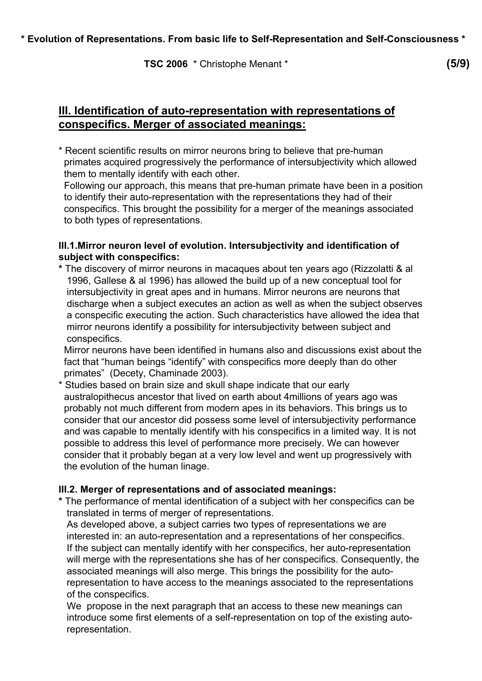**TSC 2006** \* Christophe Menant \* **(5/9)**

# **III. Identification of auto-representation with representations of conspecifics. Merger of associated meanings:**

\* Recent scientific results on mirror neurons bring to believe that pre-human primates acquired progressively the performance of intersubjectivity which allowed them to mentally identify with each other.

Following our approach, this means that pre-human primate have been in a position to identify their auto-representation with the representations they had of their conspecifics. This brought the possibility for a merger of the meanings associated to both types of representations.

### **III.1.Mirror neuron level of evolution. Intersubjectivity and identification of subject with conspecifics:**

**\*** The discovery of mirror neurons in macaques about ten years ago (Rizzolatti & al 1996, Gallese & al 1996) has allowed the build up of a new conceptual tool for intersubjectivity in great apes and in humans. Mirror neurons are neurons that discharge when a subject executes an action as well as when the subject observes a conspecific executing the action. Such characteristics have allowed the idea that mirror neurons identify a possibility for intersubjectivity between subject and conspecifics.

Mirror neurons have been identified in humans also and discussions exist about the fact that "human beings "identify" with conspecifics more deeply than do other primates" (Decety, Chaminade 2003).

\* Studies based on brain size and skull shape indicate that our early australopithecus ancestor that lived on earth about 4millions of years ago was probably not much different from modern apes in its behaviors. This brings us to consider that our ancestor did possess some level of intersubjectivity performance and was capable to mentally identify with his conspecifics in a limited way. It is not possible to address this level of performance more precisely. We can however consider that it probably began at a very low level and went up progressively with the evolution of the human linage.

### **III.2. Merger of representations and of associated meanings:**

**\*** The performance of mental identification of a subject with her conspecifics can be translated in terms of merger of representations.

As developed above, a subject carries two types of representations we are interested in: an auto-representation and a representations of her conspecifics. If the subject can mentally identify with her conspecifics, her auto-representation will merge with the representations she has of her conspecifics. Consequently, the associated meanings will also merge. This brings the possibility for the autorepresentation to have access to the meanings associated to the representations of the conspecifics.

We propose in the next paragraph that an access to these new meanings can introduce some first elements of a self-representation on top of the existing autorepresentation.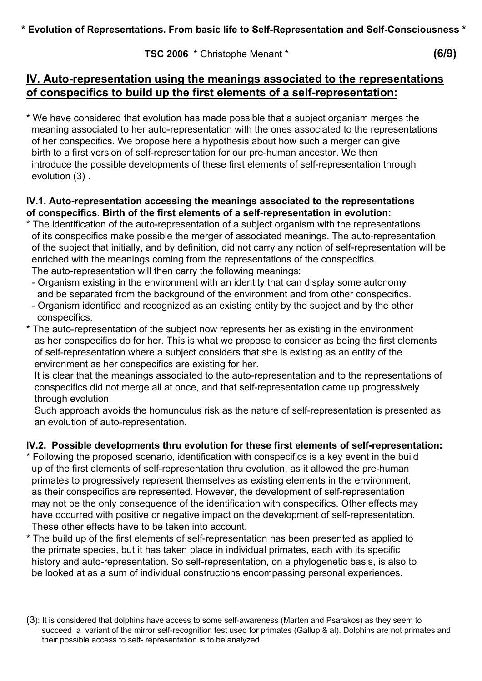**TSC 2006** \* Christophe Menant \* **(6/9)**

# **IV. Auto-representation using the meanings associated to the representations of conspecifics to build up the first elements of a self-representation:**

\* We have considered that evolution has made possible that a subject organism merges the meaning associated to her auto-representation with the ones associated to the representations of her conspecifics. We propose here a hypothesis about how such a merger can give birth to a first version of self-representation for our pre-human ancestor. We then introduce the possible developments of these first elements of self-representation through evolution (3) .

### **IV.1. Auto-representation accessing the meanings associated to the representations of conspecifics. Birth of the first elements of a self-representation in evolution:**

- \* The identification of the auto-representation of a subject organism with the representations of its conspecifics make possible the merger of associated meanings. The auto-representation of the subject that initially, and by definition, did not carry any notion of self-representation will be enriched with the meanings coming from the representations of the conspecifics. The auto-representation will then carry the following meanings:
	- Organism existing in the environment with an identity that can display some autonomy and be separated from the background of the environment and from other conspecifics.
- Organism identified and recognized as an existing entity by the subject and by the other conspecifics.
- \* The auto-representation of the subject now represents her as existing in the environment as her conspecifics do for her. This is what we propose to consider as being the first elements of self-representation where a subject considers that she is existing as an entity of the environment as her conspecifics are existing for her.

It is clear that the meanings associated to the auto-representation and to the representations of conspecifics did not merge all at once, and that self-representation came up progressively through evolution.

Such approach avoids the homunculus risk as the nature of self-representation is presented as an evolution of auto-representation.

### **IV.2. Possible developments thru evolution for these first elements of self-representation:**

- \* Following the proposed scenario, identification with conspecifics is a key event in the build up of the first elements of self-representation thru evolution, as it allowed the pre-human primates to progressively represent themselves as existing elements in the environment, as their conspecifics are represented. However, the development of self-representation may not be the only consequence of the identification with conspecifics. Other effects may have occurred with positive or negative impact on the development of self-representation. These other effects have to be taken into account.
- The build up of the first elements of self-representation has been presented as applied to the primate species, but it has taken place in individual primates, each with its specific history and auto-representation. So self-representation, on a phylogenetic basis, is also to be looked at as a sum of individual constructions encompassing personal experiences.

<sup>(3):</sup> It is considered that dolphins have access to some self-awareness (Marten and Psarakos) as they seem to succeed a variant of the mirror self-recognition test used for primates (Gallup & al). Dolphins are not primates and their possible access to self- representation is to be analyzed.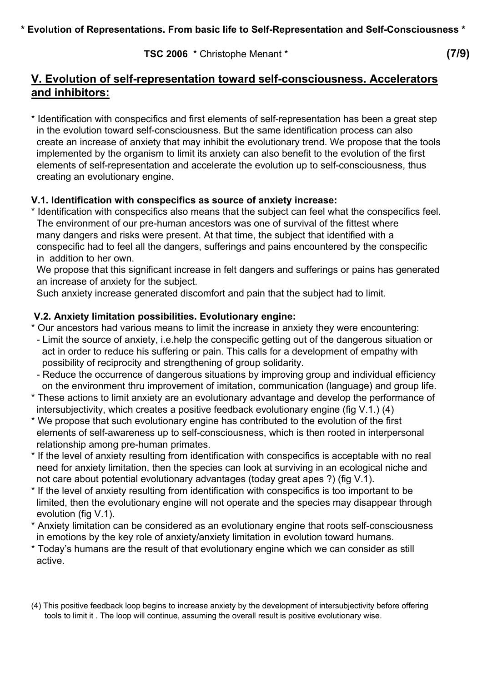**TSC 2006** \* Christophe Menant \* **(7/9)**

# **V. Evolution of self-representation toward self-consciousness. Accelerators and inhibitors:**

\* Identification with conspecifics and first elements of self-representation has been a great step in the evolution toward self-consciousness. But the same identification process can also create an increase of anxiety that may inhibit the evolutionary trend. We propose that the tools implemented by the organism to limit its anxiety can also benefit to the evolution of the first elements of self-representation and accelerate the evolution up to self-consciousness, thus creating an evolutionary engine.

### **V.1. Identification with conspecifics as source of anxiety increase:**

\* Identification with conspecifics also means that the subject can feel what the conspecifics feel. The environment of our pre-human ancestors was one of survival of the fittest where many dangers and risks were present. At that time, the subject that identified with a conspecific had to feel all the dangers, sufferings and pains encountered by the conspecific in addition to her own.

We propose that this significant increase in felt dangers and sufferings or pains has generated an increase of anxiety for the subject.

Such anxiety increase generated discomfort and pain that the subject had to limit.

### **V.2. Anxiety limitation possibilities. Evolutionary engine:**

\* Our ancestors had various means to limit the increase in anxiety they were encountering:

- Limit the source of anxiety, i.e.help the conspecific getting out of the dangerous situation or act in order to reduce his suffering or pain. This calls for a development of empathy with possibility of reciprocity and strengthening of group solidarity.
- Reduce the occurrence of dangerous situations by improving group and individual efficiency on the environment thru improvement of imitation, communication (language) and group life.
- \* These actions to limit anxiety are an evolutionary advantage and develop the performance of intersubjectivity, which creates a positive feedback evolutionary engine (fig V.1.) (4)
- \* We propose that such evolutionary engine has contributed to the evolution of the first elements of self-awareness up to self-consciousness, which is then rooted in interpersonal relationship among pre-human primates.
- \* If the level of anxiety resulting from identification with conspecifics is acceptable with no real need for anxiety limitation, then the species can look at surviving in an ecological niche and not care about potential evolutionary advantages (today great apes ?) (fig V.1).
- \* If the level of anxiety resulting from identification with conspecifics is too important to be limited, then the evolutionary engine will not operate and the species may disappear through evolution (fig V.1).
- \* Anxiety limitation can be considered as an evolutionary engine that roots self-consciousness in emotions by the key role of anxiety/anxiety limitation in evolution toward humans.
- \* Today's humans are the result of that evolutionary engine which we can consider as still active.

<sup>(4)</sup> This positive feedback loop begins to increase anxiety by the development of intersubjectivity before offering tools to limit it . The loop will continue, assuming the overall result is positive evolutionary wise.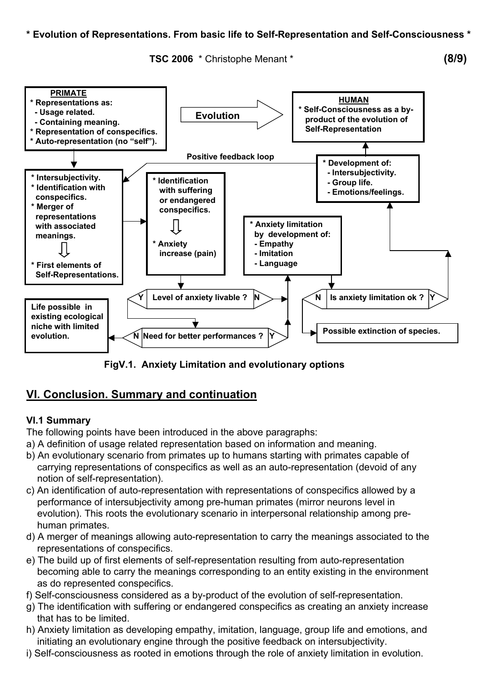**\* Evolution of Representations. Fr om basic life to Self-Representation and Self-Consciousness \***

**TSC 2006**  \* Christophe Menant \* **(8/9)**



**FigV.1. Anxiety Limitation and evolutionary options**

# **VI. Conclusion. Summary and continuation**

### **VI.1 Summary**

The following points have been introduced in the above paragraphs:

- a) A definition of usage related representation based on information and meaning.
- b) An evolutionary scenario from primates up to humans starting with primates capable of carrying representations of conspecifics as well as an auto-representation (devoid of any notion of self-representation).
- c) An identification of auto-representation with representations of conspecifics allowed by a performance of intersubjectivity among pre-human primates (mirror neurons level in evolution). This roots the evolutionary scenario in interpersonal relationship among prehuman primates.
- d) A merger of meanings allowing auto-representation to carry the meanings associated to the representations of conspecifics.
- e) The build up of first elements of self-representation resulting from auto-representation becoming able to carry the meanings corresponding to an entity existing in the environment as do represented conspecifics.
- f) Self-consciousness considered as a by-product of the evolution of self-representation.
- g) The identification with suffering or endangered conspecifics as creating an anxiety increase that has to be limited.
- h) Anxiety limitation as developing empathy, imitation, language, group life and emotions, and initiating an evolutionary engine through the positive feedback on intersubjectivity.
- i) Self-consciousness as rooted in emotions through the role of anxiety limitation in evolution.